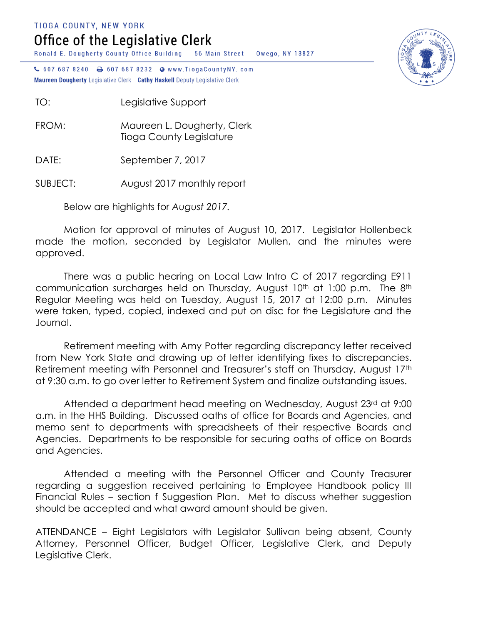TIOGA COUNTY, NEW YORK

## Office of the Legislative Clerk

Ronald E. Dougherty County Office Building 56 Main Street Owego, NY 13827

↓ 607 687 8240 → 607 687 8232 ● www.TiogaCountyNY.com Maureen Dougherty Legislative Clerk Cathy Haskell Deputy Legislative Clerk

TO: Legislative Support

FROM: Maureen L. Dougherty, Clerk Tioga County Legislature

DATE: September 7, 2017

SUBJECT: August 2017 monthly report

Below are highlights for *August 2017.*

Motion for approval of minutes of August 10, 2017. Legislator Hollenbeck made the motion, seconded by Legislator Mullen, and the minutes were approved.

There was a public hearing on Local Law Intro C of 2017 regarding E911 communication surcharges held on Thursday, August 10<sup>th</sup> at 1:00 p.m. The 8<sup>th</sup> Regular Meeting was held on Tuesday, August 15, 2017 at 12:00 p.m. Minutes were taken, typed, copied, indexed and put on disc for the Legislature and the Journal.

Retirement meeting with Amy Potter regarding discrepancy letter received from New York State and drawing up of letter identifying fixes to discrepancies. Retirement meeting with Personnel and Treasurer's staff on Thursday, August 17th at 9:30 a.m. to go over letter to Retirement System and finalize outstanding issues.

Attended a department head meeting on Wednesday, August 23rd at 9:00 a.m. in the HHS Building. Discussed oaths of office for Boards and Agencies, and memo sent to departments with spreadsheets of their respective Boards and Agencies. Departments to be responsible for securing oaths of office on Boards and Agencies.

Attended a meeting with the Personnel Officer and County Treasurer regarding a suggestion received pertaining to Employee Handbook policy III Financial Rules – section f Suggestion Plan. Met to discuss whether suggestion should be accepted and what award amount should be given.

ATTENDANCE – Eight Legislators with Legislator Sullivan being absent, County Attorney, Personnel Officer, Budget Officer, Legislative Clerk, and Deputy Legislative Clerk.